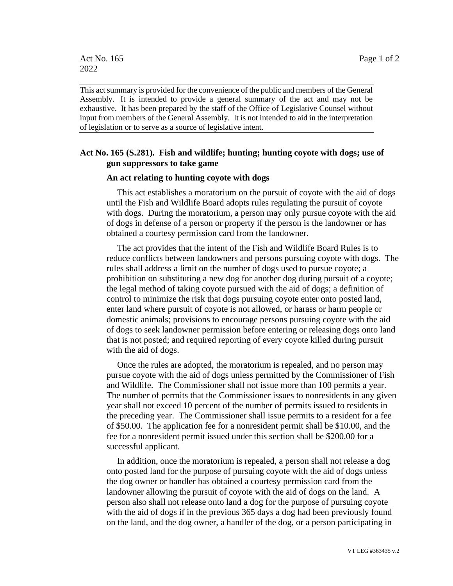This act summary is provided for the convenience of the public and members of the General Assembly. It is intended to provide a general summary of the act and may not be exhaustive. It has been prepared by the staff of the Office of Legislative Counsel without input from members of the General Assembly. It is not intended to aid in the interpretation of legislation or to serve as a source of legislative intent.

## **Act No. 165 (S.281). Fish and wildlife; hunting; hunting coyote with dogs; use of gun suppressors to take game**

## **An act relating to hunting coyote with dogs**

This act establishes a moratorium on the pursuit of coyote with the aid of dogs until the Fish and Wildlife Board adopts rules regulating the pursuit of coyote with dogs. During the moratorium, a person may only pursue coyote with the aid of dogs in defense of a person or property if the person is the landowner or has obtained a courtesy permission card from the landowner.

The act provides that the intent of the Fish and Wildlife Board Rules is to reduce conflicts between landowners and persons pursuing coyote with dogs. The rules shall address a limit on the number of dogs used to pursue coyote; a prohibition on substituting a new dog for another dog during pursuit of a coyote; the legal method of taking coyote pursued with the aid of dogs; a definition of control to minimize the risk that dogs pursuing coyote enter onto posted land, enter land where pursuit of coyote is not allowed, or harass or harm people or domestic animals; provisions to encourage persons pursuing coyote with the aid of dogs to seek landowner permission before entering or releasing dogs onto land that is not posted; and required reporting of every coyote killed during pursuit with the aid of dogs.

Once the rules are adopted, the moratorium is repealed, and no person may pursue coyote with the aid of dogs unless permitted by the Commissioner of Fish and Wildlife. The Commissioner shall not issue more than 100 permits a year. The number of permits that the Commissioner issues to nonresidents in any given year shall not exceed 10 percent of the number of permits issued to residents in the preceding year. The Commissioner shall issue permits to a resident for a fee of \$50.00. The application fee for a nonresident permit shall be \$10.00, and the fee for a nonresident permit issued under this section shall be \$200.00 for a successful applicant.

In addition, once the moratorium is repealed, a person shall not release a dog onto posted land for the purpose of pursuing coyote with the aid of dogs unless the dog owner or handler has obtained a courtesy permission card from the landowner allowing the pursuit of coyote with the aid of dogs on the land. A person also shall not release onto land a dog for the purpose of pursuing coyote with the aid of dogs if in the previous 365 days a dog had been previously found on the land, and the dog owner, a handler of the dog, or a person participating in